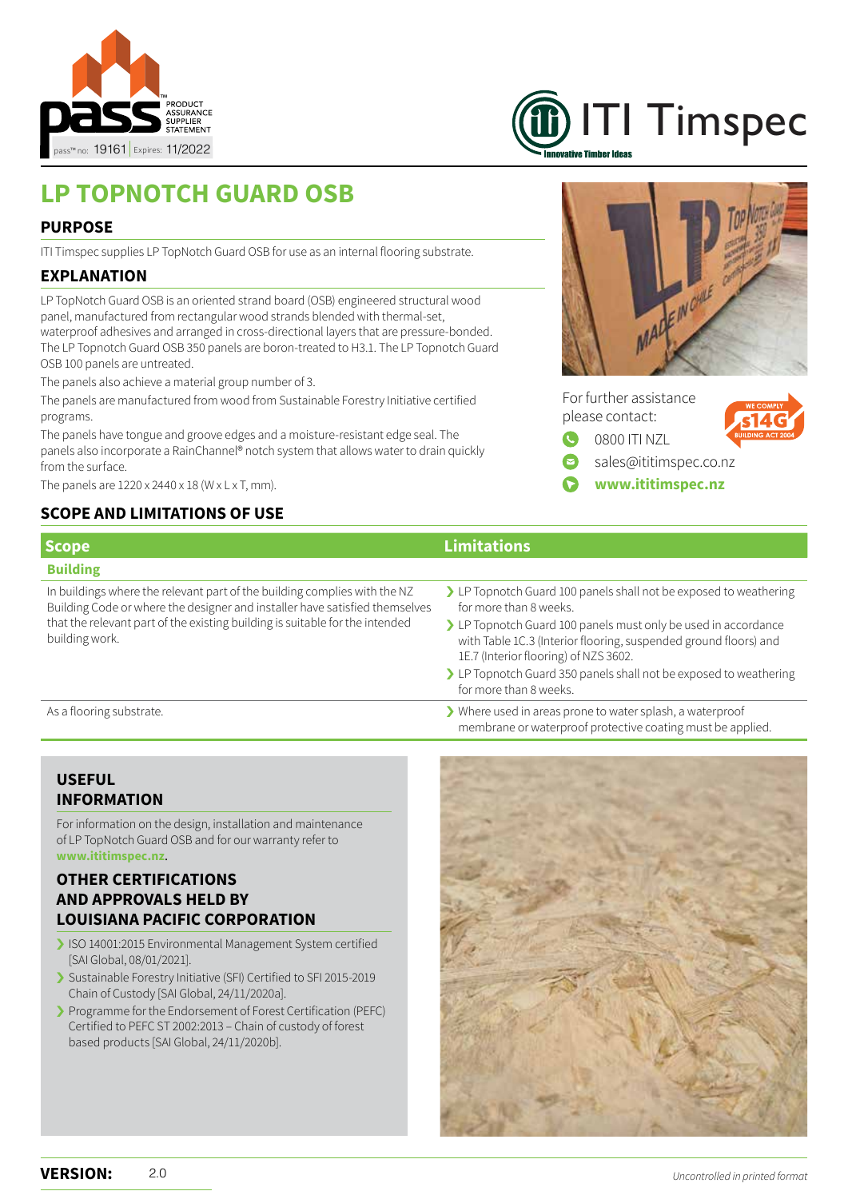



# **LP TOPNOTCH GUARD OSB**

### **PURPOSE**

ITI Timspec supplies LP TopNotch Guard OSB for use as an internal flooring substrate.

# **EXPLANATION**

LP TopNotch Guard OSB is an oriented strand board (OSB) engineered structural wood panel, manufactured from rectangular wood strands blended with thermal-set, waterproof adhesives and arranged in cross-directional layers that are pressure-bonded. The LP Topnotch Guard OSB 350 panels are boron-treated to H3.1. The LP Topnotch Guard OSB 100 panels are untreated.

The panels also achieve a material group number of 3.

The panels are manufactured from wood from Sustainable Forestry Initiative certified programs.

The panels have tongue and groove edges and a moisture-resistant edge seal. The panels also incorporate a RainChannel® notch system that allows water to drain quickly from the surface.

The panels are  $1220 \times 2440 \times 18$  (W  $\times$  L  $\times$  T, mm).

# **SCOPE AND LIMITATIONS OF USE**



For further assistance please contact: 0800 ITI NZL



sales@ititimspec.co.nz

**www.ititimspec.nz**

| <b>Scope</b>                                                                                                                                                                                                                                               | <b>Limitations</b>                                                                                                                                                                                                                |
|------------------------------------------------------------------------------------------------------------------------------------------------------------------------------------------------------------------------------------------------------------|-----------------------------------------------------------------------------------------------------------------------------------------------------------------------------------------------------------------------------------|
| <b>Building</b>                                                                                                                                                                                                                                            |                                                                                                                                                                                                                                   |
| In buildings where the relevant part of the building complies with the NZ<br>Building Code or where the designer and installer have satisfied themselves<br>that the relevant part of the existing building is suitable for the intended<br>building work. | > LP Topnotch Guard 100 panels shall not be exposed to weathering<br>for more than 8 weeks.<br>> LP Topnotch Guard 100 panels must only be used in accordance<br>with Table 1C.3 (Interior flooring, suspended ground floors) and |
|                                                                                                                                                                                                                                                            | 1E.7 (Interior flooring) of NZS 3602.<br>> LP Topnotch Guard 350 panels shall not be exposed to weathering<br>for more than 8 weeks.                                                                                              |
| As a flooring substrate.                                                                                                                                                                                                                                   | Where used in areas prone to water splash, a waterproof<br>membrane or waterproof protective coating must be applied.                                                                                                             |

# **USEFUL INFORMATION**

For information on the design, installation and maintenance of LP TopNotch Guard OSB and for our warranty refer to **www.ititimspec.nz**.

# **OTHER CERTIFICATIONS AND APPROVALS HELD BY LOUISIANA PACIFIC CORPORATION**

- ISO 14001:2015 Environmental Management System certified [SAI Global, 08/01/2021].
- Sustainable Forestry Initiative (SFI) Certified to SFI 2015-2019 Chain of Custody [SAI Global, 24/11/2020a].
- I Programme for the Endorsement of Forest Certification (PEFC) Certified to PEFC ST 2002:2013 - Chain of custody of forest based products [SAI Global, 24/11/2020b].